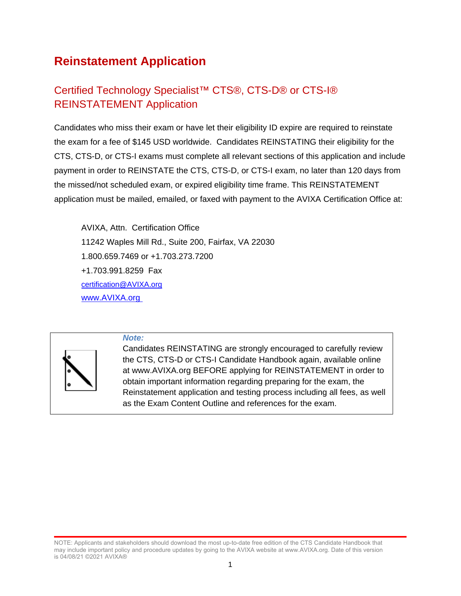# **Reinstatement Application**

# Certified Technology Specialist<sup>™</sup> CTS®, CTS-D® or CTS-I® REINSTATEMENT Application

Candidates who miss their exam or have let their eligibility ID expire are required to reinstate the exam for a fee of \$145 USD worldwide. Candidates REINSTATING their eligibility for the CTS, CTS-D, or CTS-I exams must complete all relevant sections of this application and include payment in order to REINSTATE the CTS, CTS-D, or CTS-I exam, no later than 120 days from the missed/not scheduled exam, or expired eligibility time frame. This REINSTATEMENT application must be mailed, emailed, or faxed with payment to the AVIXA Certification Office at:

AVIXA, Attn. Certification Office 11242 Waples Mill Rd., Suite 200, Fairfax, VA 22030 1.800.659.7469 or +1.703.273.7200 +1.703.991.8259 Fax [certification@AVIXA.org](mailto:certification@infocomm.org) [www.AVIXA.org](http://www.infocomm.org%C2%A0)



*Note:*

Candidates REINSTATING are strongly encouraged to carefully review the CTS, CTS-D or CTS-I Candidate Handbook again, available online at www.AVIXA.org BEFORE applying for REINSTATEMENT in order to obtain important information regarding preparing for the exam, the Reinstatement application and testing process including all fees, as well as the Exam Content Outline and references for the exam.

NOTE: Applicants and stakeholders should download the most up-to-date free edition of the CTS Candidate Handbook that may include important policy and procedure updates by going to the AVIXA website at www.AVIXA.org. Date of this version is 04/08/21 ©2021 AVIXA®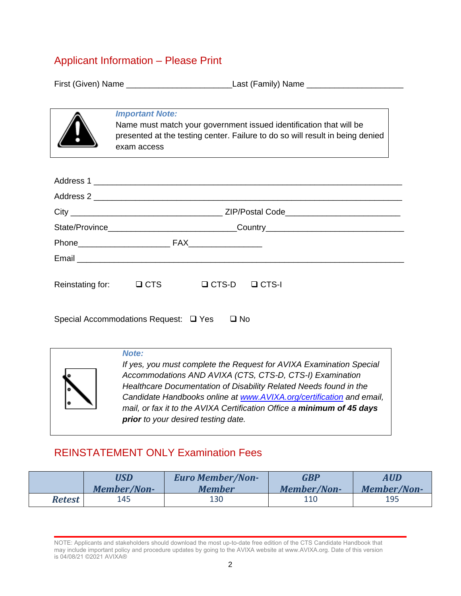### Applicant Information – Please Print

First (Given) Name \_\_\_\_\_\_\_\_\_\_\_\_\_\_\_\_\_\_\_\_\_\_\_Last (Family) Name \_\_\_\_\_\_\_\_\_\_\_\_\_\_\_\_\_\_\_\_\_



### *Important Note:*

Name must match your government issued identification that will be presented at the testing center. Failure to do so will result in being denied exam access

| Reinstating for: | $\Box$ CTS | $\Box$ CTS-D | $\Box$ CTS-I |  |
|------------------|------------|--------------|--------------|--|

Special Accommodations Request:  $\Box$  Yes  $\Box$  No



### *Note:*

*If yes, you must complete the Request for AVIXA Examination Special Accommodations AND AVIXA (CTS, CTS-D, CTS-I) Examination Healthcare Documentation of Disability Related Needs found in the Candidate Handbooks online at [www.AVIXA.org/certification](http://www.infocomm.org/certification) and email, mail, or fax it to the AVIXA Certification Office a minimum of 45 days prior to your desired testing date.*

## REINSTATEMENT ONLY Examination Fees

|        | USD         | <b>Euro Member/Non-</b> | <b>GBP</b>  | <b>AUD</b>  |
|--------|-------------|-------------------------|-------------|-------------|
|        | Member/Non- | <b>Member</b>           | Member/Non- | Member/Non- |
| Retest | 145         | 130                     | 110         | 195         |

NOTE: Applicants and stakeholders should download the most up-to-date free edition of the CTS Candidate Handbook that may include important policy and procedure updates by going to the AVIXA website at www.AVIXA.org. Date of this version is 04/08/21 ©2021 AVIXA®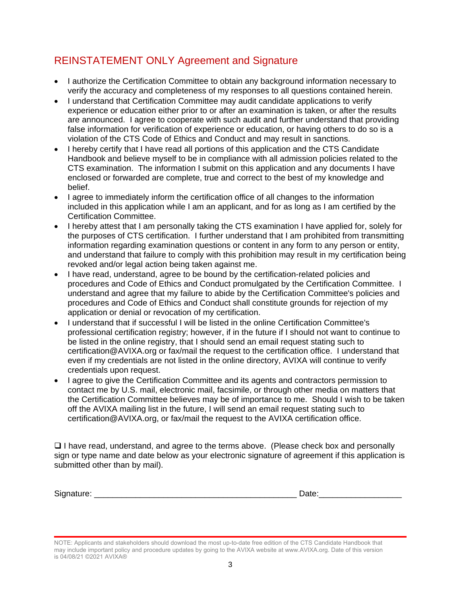## REINSTATEMENT ONLY Agreement and Signature

- I authorize the Certification Committee to obtain any background information necessary to verify the accuracy and completeness of my responses to all questions contained herein.
- I understand that Certification Committee may audit candidate applications to verify experience or education either prior to or after an examination is taken, or after the results are announced. I agree to cooperate with such audit and further understand that providing false information for verification of experience or education, or having others to do so is a violation of the CTS Code of Ethics and Conduct and may result in sanctions.
- I hereby certify that I have read all portions of this application and the CTS Candidate Handbook and believe myself to be in compliance with all admission policies related to the CTS examination. The information I submit on this application and any documents I have enclosed or forwarded are complete, true and correct to the best of my knowledge and belief.
- I agree to immediately inform the certification office of all changes to the information included in this application while I am an applicant, and for as long as I am certified by the Certification Committee.
- I hereby attest that I am personally taking the CTS examination I have applied for, solely for the purposes of CTS certification. I further understand that I am prohibited from transmitting information regarding examination questions or content in any form to any person or entity, and understand that failure to comply with this prohibition may result in my certification being revoked and/or legal action being taken against me.
- I have read, understand, agree to be bound by the certification-related policies and procedures and Code of Ethics and Conduct promulgated by the Certification Committee. I understand and agree that my failure to abide by the Certification Committee's policies and procedures and Code of Ethics and Conduct shall constitute grounds for rejection of my application or denial or revocation of my certification.
- I understand that if successful I will be listed in the online Certification Committee's professional certification registry; however, if in the future if I should not want to continue to be listed in the online registry, that I should send an email request stating such to certification@AVIXA.org or fax/mail the request to the certification office. I understand that even if my credentials are not listed in the online directory, AVIXA will continue to verify credentials upon request.
- I agree to give the Certification Committee and its agents and contractors permission to contact me by U.S. mail, electronic mail, facsimile, or through other media on matters that the Certification Committee believes may be of importance to me. Should I wish to be taken off the AVIXA mailing list in the future, I will send an email request stating such to certification@AVIXA.org, or fax/mail the request to the AVIXA certification office.

 $\Box$  I have read, understand, and agree to the terms above. (Please check box and personally sign or type name and date below as your electronic signature of agreement if this application is submitted other than by mail).

Signature: \_\_\_\_\_\_\_\_\_\_\_\_\_\_\_\_\_\_\_\_\_\_\_\_\_\_\_\_\_\_\_\_\_\_\_\_\_\_\_\_\_\_\_\_ Date:\_\_\_\_\_\_\_\_\_\_\_\_\_\_\_\_\_\_

NOTE: Applicants and stakeholders should download the most up-to-date free edition of the CTS Candidate Handbook that may include important policy and procedure updates by going to the AVIXA website at www.AVIXA.org. Date of this version is 04/08/21 ©2021 AVIXA®